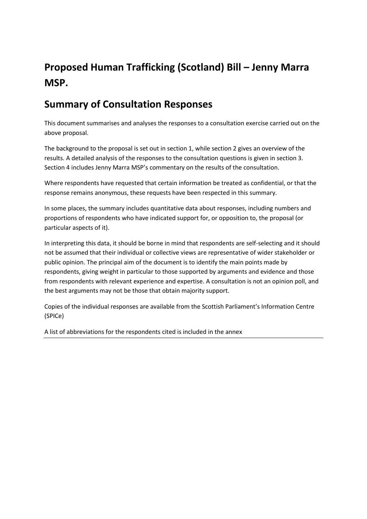# **Proposed Human Trafficking (Scotland) Bill – Jenny Marra MSP.**

## **Summary of Consultation Responses**

This document summarises and analyses the responses to a consultation exercise carried out on the above proposal.

The background to the proposal is set out in section 1, while section 2 gives an overview of the results. A detailed analysis of the responses to the consultation questions is given in section 3. Section 4 includes Jenny Marra MSP's commentary on the results of the consultation.

Where respondents have requested that certain information be treated as confidential, or that the response remains anonymous, these requests have been respected in this summary.

In some places, the summary includes quantitative data about responses, including numbers and proportions of respondents who have indicated support for, or opposition to, the proposal (or particular aspects of it).

In interpreting this data, it should be borne in mind that respondents are self-selecting and it should not be assumed that their individual or collective views are representative of wider stakeholder or public opinion. The principal aim of the document is to identify the main points made by respondents, giving weight in particular to those supported by arguments and evidence and those from respondents with relevant experience and expertise. A consultation is not an opinion poll, and the best arguments may not be those that obtain majority support.

Copies of the individual responses are available from the Scottish Parliament's Information Centre (SPICe)

A list of abbreviations for the respondents cited is included in the annex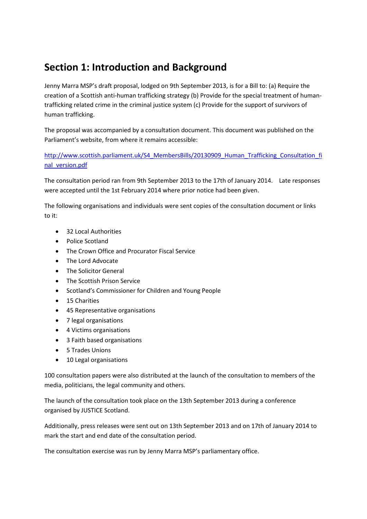## **Section 1: Introduction and Background**

Jenny Marra MSP's draft proposal, lodged on 9th September 2013, is for a Bill to: (a) Require the creation of a Scottish anti-human trafficking strategy (b) Provide for the special treatment of humantrafficking related crime in the criminal justice system (c) Provide for the support of survivors of human trafficking.

The proposal was accompanied by a consultation document. This document was published on the Parliament's website, from where it remains accessible:

[http://www.scottish.parliament.uk/S4\\_MembersBills/20130909\\_Human\\_Trafficking\\_Consultation\\_fi](http://www.scottish.parliament.uk/S4_MembersBills/20130909_Human_Trafficking_Consultation_final_version.pdf) [nal\\_version.pdf](http://www.scottish.parliament.uk/S4_MembersBills/20130909_Human_Trafficking_Consultation_final_version.pdf)

The consultation period ran from 9th September 2013 to the 17th of January 2014. Late responses were accepted until the 1st February 2014 where prior notice had been given.

The following organisations and individuals were sent copies of the consultation document or links to it:

- 32 Local Authorities
- Police Scotland
- The Crown Office and Procurator Fiscal Service
- The Lord Advocate
- The Solicitor General
- **•** The Scottish Prison Service
- Scotland's Commissioner for Children and Young People
- 15 Charities
- 45 Representative organisations
- 7 legal organisations
- 4 Victims organisations
- 3 Faith based organisations
- 5 Trades Unions
- 10 Legal organisations

100 consultation papers were also distributed at the launch of the consultation to members of the media, politicians, the legal community and others.

The launch of the consultation took place on the 13th September 2013 during a conference organised by JUSTICE Scotland.

Additionally, press releases were sent out on 13th September 2013 and on 17th of January 2014 to mark the start and end date of the consultation period.

The consultation exercise was run by Jenny Marra MSP's parliamentary office.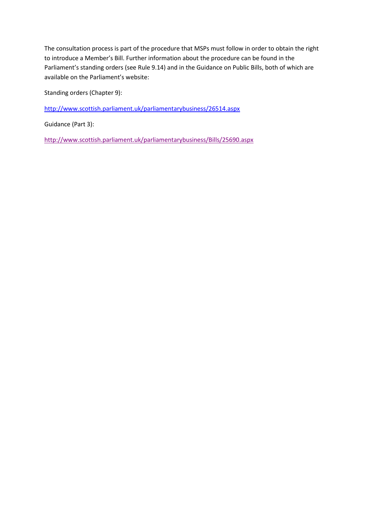The consultation process is part of the procedure that MSPs must follow in order to obtain the right to introduce a Member's Bill. Further information about the procedure can be found in the Parliament's standing orders (see Rule 9.14) and in the Guidance on Public Bills, both of which are available on the Parliament's website:

Standing orders (Chapter 9):

<http://www.scottish.parliament.uk/parliamentarybusiness/26514.aspx>

Guidance (Part 3):

<http://www.scottish.parliament.uk/parliamentarybusiness/Bills/25690.aspx>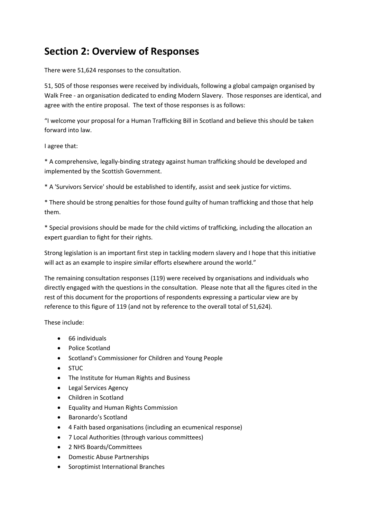## **Section 2: Overview of Responses**

There were 51,624 responses to the consultation.

51, 505 of those responses were received by individuals, following a global campaign organised by Walk Free - an organisation dedicated to ending Modern Slavery. Those responses are identical, and agree with the entire proposal. The text of those responses is as follows:

"I welcome your proposal for a Human Trafficking Bill in Scotland and believe this should be taken forward into law.

I agree that:

\* A comprehensive, legally-binding strategy against human trafficking should be developed and implemented by the Scottish Government.

\* A 'Survivors Service' should be established to identify, assist and seek justice for victims.

\* There should be strong penalties for those found guilty of human trafficking and those that help them.

\* Special provisions should be made for the child victims of trafficking, including the allocation an expert guardian to fight for their rights.

Strong legislation is an important first step in tackling modern slavery and I hope that this initiative will act as an example to inspire similar efforts elsewhere around the world."

The remaining consultation responses (119) were received by organisations and individuals who directly engaged with the questions in the consultation. Please note that all the figures cited in the rest of this document for the proportions of respondents expressing a particular view are by reference to this figure of 119 (and not by reference to the overall total of 51,624).

These include:

- 66 individuals
- Police Scotland
- Scotland's Commissioner for Children and Young People
- STUC
- The Institute for Human Rights and Business
- **•** Legal Services Agency
- Children in Scotland
- Equality and Human Rights Commission
- Baronardo's Scotland
- 4 Faith based organisations (including an ecumenical response)
- 7 Local Authorities (through various committees)
- 2 NHS Boards/Committees
- Domestic Abuse Partnerships
- Soroptimist International Branches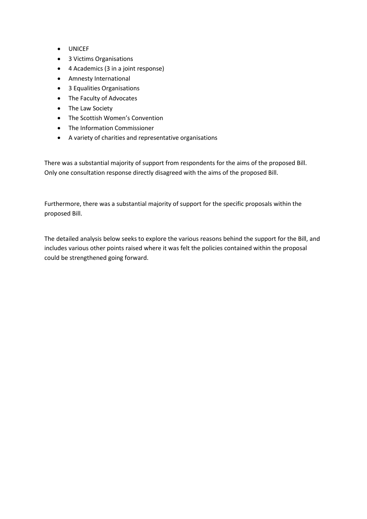- UNICEF
- 3 Victims Organisations
- 4 Academics (3 in a joint response)
- Amnesty International
- 3 Equalities Organisations
- The Faculty of Advocates
- The Law Society
- The Scottish Women's Convention
- The Information Commissioner
- A variety of charities and representative organisations

There was a substantial majority of support from respondents for the aims of the proposed Bill. Only one consultation response directly disagreed with the aims of the proposed Bill.

Furthermore, there was a substantial majority of support for the specific proposals within the proposed Bill.

The detailed analysis below seeks to explore the various reasons behind the support for the Bill, and includes various other points raised where it was felt the policies contained within the proposal could be strengthened going forward.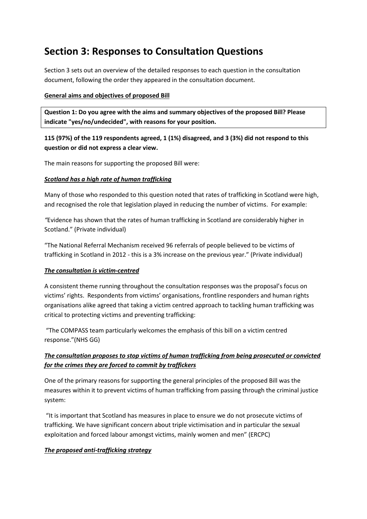## **Section 3: Responses to Consultation Questions**

Section 3 sets out an overview of the detailed responses to each question in the consultation document, following the order they appeared in the consultation document.

#### **General aims and objectives of proposed Bill**

**Question 1: Do you agree with the aims and summary objectives of the proposed Bill? Please indicate "yes/no/undecided", with reasons for your position.**

**115 (97%) of the 119 respondents agreed, 1 (1%) disagreed, and 3 (3%) did not respond to this question or did not express a clear view.** 

The main reasons for supporting the proposed Bill were:

#### *Scotland has a high rate of human trafficking*

Many of those who responded to this question noted that rates of trafficking in Scotland were high, and recognised the role that legislation played in reducing the number of victims. For example:

*"*Evidence has shown that the rates of human trafficking in Scotland are considerably higher in Scotland." (Private individual)

"The National Referral Mechanism received 96 referrals of people believed to be victims of trafficking in Scotland in 2012 - this is a 3% increase on the previous year." (Private individual)

#### *The consultation is victim-centred*

A consistent theme running throughout the consultation responses was the proposal's focus on victims' rights. Respondents from victims' organisations, frontline responders and human rights organisations alike agreed that taking a victim centred approach to tackling human trafficking was critical to protecting victims and preventing trafficking:

"The COMPASS team particularly welcomes the emphasis of this bill on a victim centred response."(NHS GG)

### *The consultation proposes to stop victims of human trafficking from being prosecuted or convicted for the crimes they are forced to commit by traffickers*

One of the primary reasons for supporting the general principles of the proposed Bill was the measures within it to prevent victims of human trafficking from passing through the criminal justice system:

"It is important that Scotland has measures in place to ensure we do not prosecute victims of trafficking. We have significant concern about triple victimisation and in particular the sexual exploitation and forced labour amongst victims, mainly women and men" (ERCPC)

### *The proposed anti-trafficking strategy*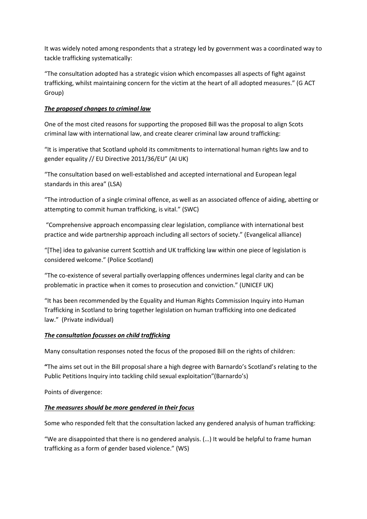It was widely noted among respondents that a strategy led by government was a coordinated way to tackle trafficking systematically:

"The consultation adopted has a strategic vision which encompasses all aspects of fight against trafficking, whilst maintaining concern for the victim at the heart of all adopted measures." (G ACT Group)

#### *The proposed changes to criminal law*

One of the most cited reasons for supporting the proposed Bill was the proposal to align Scots criminal law with international law, and create clearer criminal law around trafficking:

"It is imperative that Scotland uphold its commitments to international human rights law and to gender equality // EU Directive 2011/36/EU" (AI UK)

"The consultation based on well-established and accepted international and European legal standards in this area" (LSA)

"The introduction of a single criminal offence, as well as an associated offence of aiding, abetting or attempting to commit human trafficking, is vital." (SWC)

"Comprehensive approach encompassing clear legislation, compliance with international best practice and wide partnership approach including all sectors of society." (Evangelical alliance)

"[The] idea to galvanise current Scottish and UK trafficking law within one piece of legislation is considered welcome." (Police Scotland)

"The co-existence of several partially overlapping offences undermines legal clarity and can be problematic in practice when it comes to prosecution and conviction." (UNICEF UK)

"It has been recommended by the Equality and Human Rights Commission Inquiry into Human Trafficking in Scotland to bring together legislation on human trafficking into one dedicated law." (Private individual)

#### *The consultation focusses on child trafficking*

Many consultation responses noted the focus of the proposed Bill on the rights of children:

**"**The aims set out in the Bill proposal share a high degree with Barnardo's Scotland's relating to the Public Petitions Inquiry into tackling child sexual exploitation"(Barnardo's)

Points of divergence:

### *The measures should be more gendered in their focus*

Some who responded felt that the consultation lacked any gendered analysis of human trafficking:

"We are disappointed that there is no gendered analysis. (…) It would be helpful to frame human trafficking as a form of gender based violence." (WS)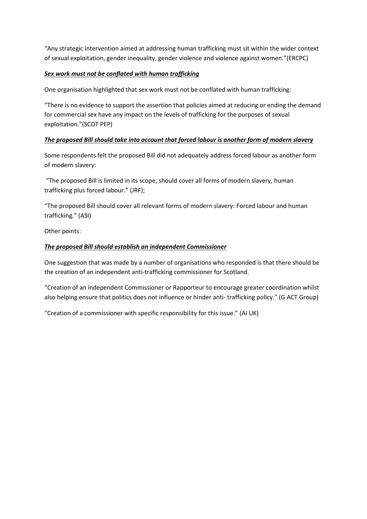"Any strategic intervention aimed at addressing human trafficking must sit within the wider context of sexual exploitation, gender inequality, gender violence and violence against women."(ERCPC)

#### *Sex work must not be conflated with human trafficking*

One organisation highlighted that sex work must not be conflated with human trafficking:

"There is no evidence to support the assertion that policies aimed at reducing or ending the demand for commercial sex have any impact on the levels of trafficking for the purposes of sexual exploitation."(SCOT PEP)

#### *The proposed Bill should take into account that forced labour is another form of modern slavery*

Some respondents felt the proposed Bill did not adequately address forced labour as another form of modern slavery:

"The proposed Bill is limited in its scope, should cover all forms of modern slavery, human trafficking plus forced labour." (JRF);

"The proposed Bill should cover all relevant forms of modern slavery: Forced labour and human trafficking." (ASI)

Other points:

#### *The proposed Bill should establish an independent Commissioner*

One suggestion that was made by a number of organisations who responded is that there should be the creation of an independent anti-trafficking commissioner for Scotland.

"Creation of an independent Commissioner or Rapporteur to encourage greater coordination whilst also helping ensure that politics does not influence or hinder anti- trafficking policy." (G ACT Group)

"Creation of a commissioner with specific responsibility for this issue." (AI UK)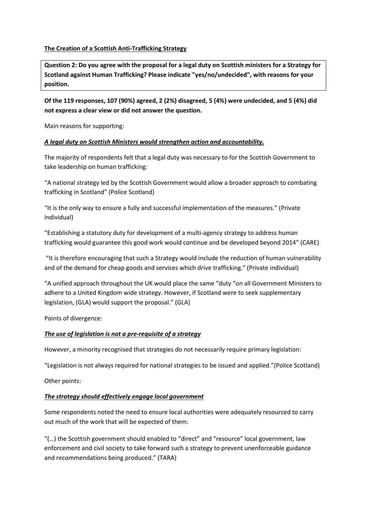#### **The Creation of a Scottish Anti-Trafficking Strategy**

**Question 2: Do you agree with the proposal for a legal duty on Scottish ministers for a Strategy for Scotland against Human Trafficking? Please indicate "yes/no/undecided", with reasons for your position.**

**Of the 119 responses, 107 (90%) agreed, 2 (2%) disagreed, 5 (4%) were undecided, and 5 (4%) did not express a clear view or did not answer the question.** 

Main reasons for supporting:

#### *A legal duty on Scottish Ministers would strengthen action and accountability.*

The majority of respondents felt that a legal duty was necessary to for the Scottish Government to take leadership on human trafficking:

"A national strategy led by the Scottish Government would allow a broader approach to combating trafficking in Scotland" (Police Scotland)

"It is the only way to ensure a fully and successful implementation of the measures." (Private individual)

"Establishing a statutory duty for development of a multi-agency strategy to address human trafficking would guarantee this good work would continue and be developed beyond 2014" (CARE)

"It is therefore encouraging that such a Strategy would include the reduction of human vulnerability and of the demand for cheap goods and services which drive trafficking." (Private individual)

"A unified approach throughout the UK would place the same "duty "on all Government Ministers to adhere to a United Kingdom wide strategy. However, if Scotland were to seek supplementary legislation, (GLA) would support the proposal." (GLA)

Points of divergence:

#### *The use of legislation is not a pre-requisite of a strategy*

However, a minority recognised that strategies do not necessarily require primary legislation:

"Legislation is not always required for national strategies to be issued and applied."(Police Scotland)

Other points:

#### *The strategy should effectively engage local government*

Some respondents noted the need to ensure local authorities were adequately resourced to carry out much of the work that will be expected of them:

"(…) the Scottish government should enabled to "direct" and "resource" local government, law enforcement and civil society to take forward such a strategy to prevent unenforceable guidance and recommendations being produced." (TARA)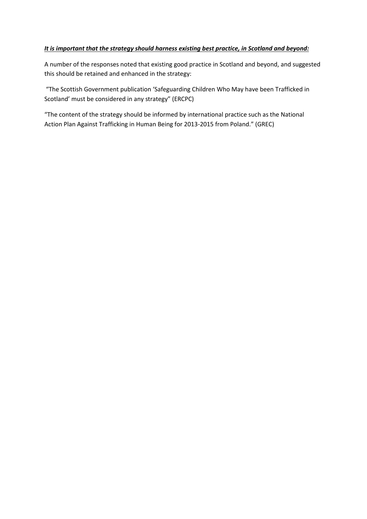#### *It is important that the strategy should harness existing best practice, in Scotland and beyond:*

A number of the responses noted that existing good practice in Scotland and beyond, and suggested this should be retained and enhanced in the strategy:

"The Scottish Government publication 'Safeguarding Children Who May have been Trafficked in Scotland' must be considered in any strategy" (ERCPC)

"The content of the strategy should be informed by international practice such as the National Action Plan Against Trafficking in Human Being for 2013-2015 from Poland." (GREC)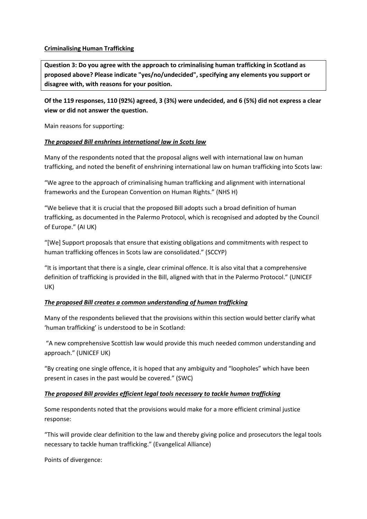#### **Criminalising Human Trafficking**

**Question 3: Do you agree with the approach to criminalising human trafficking in Scotland as proposed above? Please indicate "yes/no/undecided", specifying any elements you support or disagree with, with reasons for your position.**

**Of the 119 responses, 110 (92%) agreed, 3 (3%) were undecided, and 6 (5%) did not express a clear view or did not answer the question.** 

Main reasons for supporting:

#### *The proposed Bill enshrines international law in Scots law*

Many of the respondents noted that the proposal aligns well with international law on human trafficking, and noted the benefit of enshrining international law on human trafficking into Scots law:

"We agree to the approach of criminalising human trafficking and alignment with international frameworks and the European Convention on Human Rights." (NHS H)

"We believe that it is crucial that the proposed Bill adopts such a broad definition of human trafficking, as documented in the Palermo Protocol, which is recognised and adopted by the Council of Europe." (AI UK)

"[We] Support proposals that ensure that existing obligations and commitments with respect to human trafficking offences in Scots law are consolidated." (SCCYP)

"It is important that there is a single, clear criminal offence. It is also vital that a comprehensive definition of trafficking is provided in the Bill, aligned with that in the Palermo Protocol." (UNICEF UK)

#### *The proposed Bill creates a common understanding of human trafficking*

Many of the respondents believed that the provisions within this section would better clarify what 'human trafficking' is understood to be in Scotland:

"A new comprehensive Scottish law would provide this much needed common understanding and approach." (UNICEF UK)

"By creating one single offence, it is hoped that any ambiguity and "loopholes" which have been present in cases in the past would be covered." (SWC)

#### *The proposed Bill provides efficient legal tools necessary to tackle human trafficking*

Some respondents noted that the provisions would make for a more efficient criminal justice response:

"This will provide clear definition to the law and thereby giving police and prosecutors the legal tools necessary to tackle human trafficking." (Evangelical Alliance)

Points of divergence: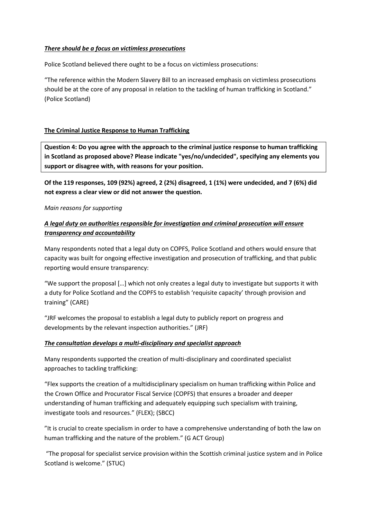#### *There should be a focus on victimless prosecutions*

Police Scotland believed there ought to be a focus on victimless prosecutions:

"The reference within the Modern Slavery Bill to an increased emphasis on victimless prosecutions should be at the core of any proposal in relation to the tackling of human trafficking in Scotland." (Police Scotland)

#### **The Criminal Justice Response to Human Trafficking**

**Question 4: Do you agree with the approach to the criminal justice response to human trafficking in Scotland as proposed above? Please indicate "yes/no/undecided", specifying any elements you support or disagree with, with reasons for your position.**

**Of the 119 responses, 109 (92%) agreed, 2 (2%) disagreed, 1 (1%) were undecided, and 7 (6%) did not express a clear view or did not answer the question.** 

#### *Main reasons for supporting*

### *A legal duty on authorities responsible for investigation and criminal prosecution will ensure transparency and accountability*

Many respondents noted that a legal duty on COPFS, Police Scotland and others would ensure that capacity was built for ongoing effective investigation and prosecution of trafficking, and that public reporting would ensure transparency:

"We support the proposal [...] which not only creates a legal duty to investigate but supports it with a duty for Police Scotland and the COPFS to establish 'requisite capacity' through provision and training" (CARE)

"JRF welcomes the proposal to establish a legal duty to publicly report on progress and developments by the relevant inspection authorities." (JRF)

#### *The consultation develops a multi-disciplinary and specialist approach*

Many respondents supported the creation of multi-disciplinary and coordinated specialist approaches to tackling trafficking:

"Flex supports the creation of a multidisciplinary specialism on human trafficking within Police and the Crown Office and Procurator Fiscal Service (COPFS) that ensures a broader and deeper understanding of human trafficking and adequately equipping such specialism with training, investigate tools and resources." (FLEX); (SBCC)

"It is crucial to create specialism in order to have a comprehensive understanding of both the law on human trafficking and the nature of the problem." (G ACT Group)

"The proposal for specialist service provision within the Scottish criminal justice system and in Police Scotland is welcome." (STUC)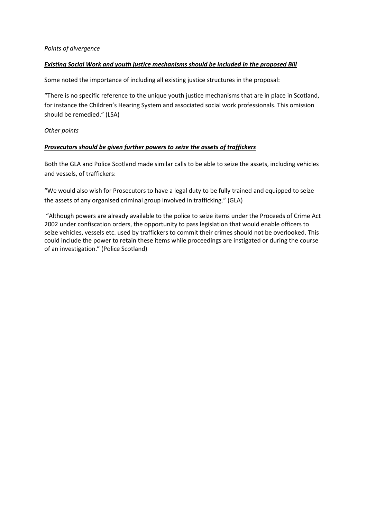#### *Existing Social Work and youth justice mechanisms should be included in the proposed Bill*

Some noted the importance of including all existing justice structures in the proposal:

"There is no specific reference to the unique youth justice mechanisms that are in place in Scotland, for instance the Children's Hearing System and associated social work professionals. This omission should be remedied." (LSA)

#### *Other points*

#### *Prosecutors should be given further powers to seize the assets of traffickers*

Both the GLA and Police Scotland made similar calls to be able to seize the assets, including vehicles and vessels, of traffickers:

"We would also wish for Prosecutors to have a legal duty to be fully trained and equipped to seize the assets of any organised criminal group involved in trafficking." (GLA)

"Although powers are already available to the police to seize items under the Proceeds of Crime Act 2002 under confiscation orders, the opportunity to pass legislation that would enable officers to seize vehicles, vessels etc. used by traffickers to commit their crimes should not be overlooked. This could include the power to retain these items while proceedings are instigated or during the course of an investigation." (Police Scotland)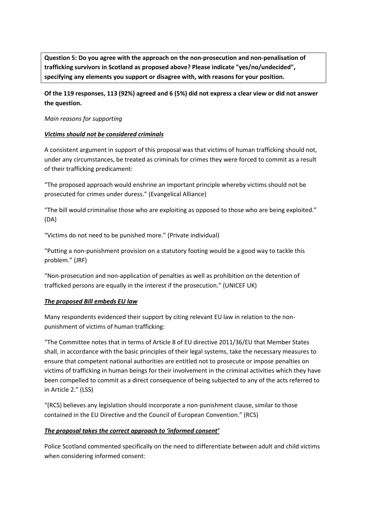**Question 5: Do you agree with the approach on the non-prosecution and non-penalisation of trafficking survivors in Scotland as proposed above? Please indicate "yes/no/undecided", specifying any elements you support or disagree with, with reasons for your position.**

**Of the 119 responses, 113 (92%) agreed and 6 (5%) did not express a clear view or did not answer the question.** 

#### *Main reasons for supporting*

#### *Victims should not be considered criminals*

A consistent argument in support of this proposal was that victims of human trafficking should not, under any circumstances, be treated as criminals for crimes they were forced to commit as a result of their trafficking predicament:

"The proposed approach would enshrine an important principle whereby victims should not be prosecuted for crimes under duress." (Evangelical Alliance)

"The bill would criminalise those who are exploiting as opposed to those who are being exploited." (DA)

"Victims do not need to be punished more." (Private individual)

"Putting a non-punishment provision on a statutory footing would be a good way to tackle this problem." (JRF)

"Non-prosecution and non-application of penalties as well as prohibition on the detention of trafficked persons are equally in the interest if the prosecution." (UNICEF UK)

#### *The proposed Bill embeds EU law*

Many respondents evidenced their support by citing relevant EU law in relation to the nonpunishment of victims of human trafficking:

"The Committee notes that in terms of Article 8 of EU directive 2011/36/EU that Member States shall, in accordance with the basic principles of their legal systems, take the necessary measures to ensure that competent national authorities are entitled not to prosecute or impose penalties on victims of trafficking in human beings for their involvement in the criminal activities which they have been compelled to commit as a direct consequence of being subjected to any of the acts referred to in Article 2." (LSS)

"(RCS) believes any legislation should incorporate a non-punishment clause, similar to those contained in the EU Directive and the Council of European Convention." (RCS)

#### *The proposal takes the correct approach to 'informed consent'*

Police Scotland commented specifically on the need to differentiate between adult and child victims when considering informed consent: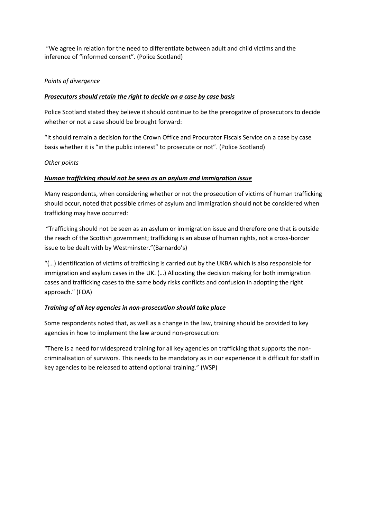"We agree in relation for the need to differentiate between adult and child victims and the inference of "informed consent". (Police Scotland)

#### *Points of divergence*

#### *Prosecutors should retain the right to decide on a case by case basis*

Police Scotland stated they believe it should continue to be the prerogative of prosecutors to decide whether or not a case should be brought forward:

"It should remain a decision for the Crown Office and Procurator Fiscals Service on a case by case basis whether it is "in the public interest" to prosecute or not". (Police Scotland)

#### *Other points*

#### *Human trafficking should not be seen as an asylum and immigration issue*

Many respondents, when considering whether or not the prosecution of victims of human trafficking should occur, noted that possible crimes of asylum and immigration should not be considered when trafficking may have occurred:

"Trafficking should not be seen as an asylum or immigration issue and therefore one that is outside the reach of the Scottish government; trafficking is an abuse of human rights, not a cross-border issue to be dealt with by Westminster."(Barnardo's)

"(…) identification of victims of trafficking is carried out by the UKBA which is also responsible for immigration and asylum cases in the UK. (…) Allocating the decision making for both immigration cases and trafficking cases to the same body risks conflicts and confusion in adopting the right approach." (FOA)

#### *Training of all key agencies in non-prosecution should take place*

Some respondents noted that, as well as a change in the law, training should be provided to key agencies in how to implement the law around non-prosecution:

"There is a need for widespread training for all key agencies on trafficking that supports the noncriminalisation of survivors. This needs to be mandatory as in our experience it is difficult for staff in key agencies to be released to attend optional training." (WSP)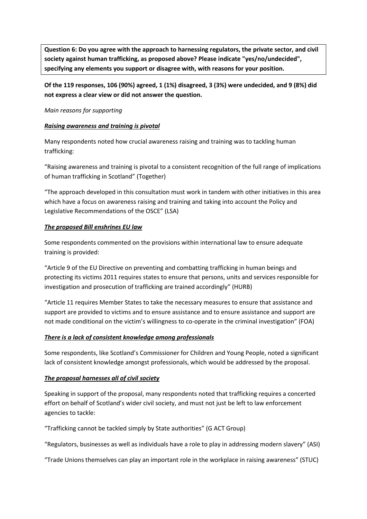**Question 6: Do you agree with the approach to harnessing regulators, the private sector, and civil society against human trafficking, as proposed above? Please indicate "yes/no/undecided", specifying any elements you support or disagree with, with reasons for your position.**

**Of the 119 responses, 106 (90%) agreed, 1 (1%) disagreed, 3 (3%) were undecided, and 9 (8%) did not express a clear view or did not answer the question.** 

#### *Main reasons for supporting*

#### *Raising awareness and training is pivotal*

Many respondents noted how crucial awareness raising and training was to tackling human trafficking:

"Raising awareness and training is pivotal to a consistent recognition of the full range of implications of human trafficking in Scotland" (Together)

"The approach developed in this consultation must work in tandem with other initiatives in this area which have a focus on awareness raising and training and taking into account the Policy and Legislative Recommendations of the OSCE" (LSA)

#### *The proposed Bill enshrines EU law*

Some respondents commented on the provisions within international law to ensure adequate training is provided:

"Article 9 of the EU Directive on preventing and combatting trafficking in human beings and protecting its victims 2011 requires states to ensure that persons, units and services responsible for investigation and prosecution of trafficking are trained accordingly" (HURB)

"Article 11 requires Member States to take the necessary measures to ensure that assistance and support are provided to victims and to ensure assistance and to ensure assistance and support are not made conditional on the victim's willingness to co-operate in the criminal investigation" (FOA)

#### *There is a lack of consistent knowledge among professionals*

Some respondents, like Scotland's Commissioner for Children and Young People, noted a significant lack of consistent knowledge amongst professionals, which would be addressed by the proposal.

#### *The proposal harnesses all of civil society*

Speaking in support of the proposal, many respondents noted that trafficking requires a concerted effort on behalf of Scotland's wider civil society, and must not just be left to law enforcement agencies to tackle:

"Trafficking cannot be tackled simply by State authorities" (G ACT Group)

"Regulators, businesses as well as individuals have a role to play in addressing modern slavery" (ASI)

"Trade Unions themselves can play an important role in the workplace in raising awareness" (STUC)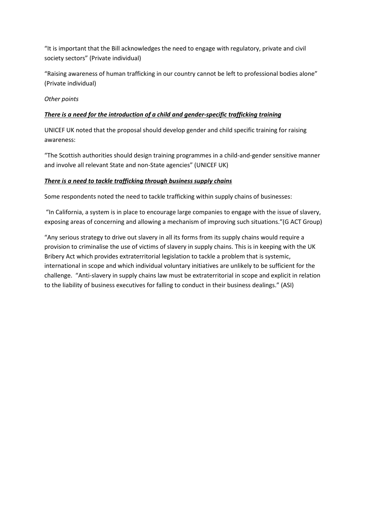"It is important that the Bill acknowledges the need to engage with regulatory, private and civil society sectors" (Private individual)

"Raising awareness of human trafficking in our country cannot be left to professional bodies alone" (Private individual)

#### *Other points*

#### *There is a need for the introduction of a child and gender-specific trafficking training*

UNICEF UK noted that the proposal should develop gender and child specific training for raising awareness:

"The Scottish authorities should design training programmes in a child-and-gender sensitive manner and involve all relevant State and non-State agencies" (UNICEF UK)

#### *There is a need to tackle trafficking through business supply chains*

Some respondents noted the need to tackle trafficking within supply chains of businesses:

"In California, a system is in place to encourage large companies to engage with the issue of slavery, exposing areas of concerning and allowing a mechanism of improving such situations."(G ACT Group)

"Any serious strategy to drive out slavery in all its forms from its supply chains would require a provision to criminalise the use of victims of slavery in supply chains. This is in keeping with the UK Bribery Act which provides extraterritorial legislation to tackle a problem that is systemic, international in scope and which individual voluntary initiatives are unlikely to be sufficient for the challenge. "Anti-slavery in supply chains law must be extraterritorial in scope and explicit in relation to the liability of business executives for falling to conduct in their business dealings." (ASI)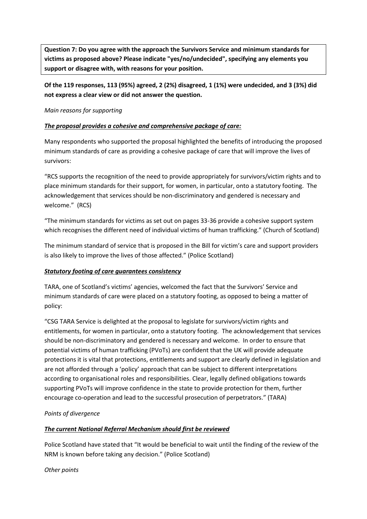**Question 7: Do you agree with the approach the Survivors Service and minimum standards for victims as proposed above? Please indicate "yes/no/undecided", specifying any elements you support or disagree with, with reasons for your position.**

**Of the 119 responses, 113 (95%) agreed, 2 (2%) disagreed, 1 (1%) were undecided, and 3 (3%) did not express a clear view or did not answer the question.** 

#### *Main reasons for supporting*

#### *The proposal provides a cohesive and comprehensive package of care:*

Many respondents who supported the proposal highlighted the benefits of introducing the proposed minimum standards of care as providing a cohesive package of care that will improve the lives of survivors:

"RCS supports the recognition of the need to provide appropriately for survivors/victim rights and to place minimum standards for their support, for women, in particular, onto a statutory footing. The acknowledgement that services should be non-discriminatory and gendered is necessary and welcome." (RCS)

"The minimum standards for victims as set out on pages 33-36 provide a cohesive support system which recognises the different need of individual victims of human trafficking." (Church of Scotland)

The minimum standard of service that is proposed in the Bill for victim's care and support providers is also likely to improve the lives of those affected." (Police Scotland)

#### *Statutory footing of care guarantees consistency*

TARA, one of Scotland's victims' agencies, welcomed the fact that the Survivors' Service and minimum standards of care were placed on a statutory footing, as opposed to being a matter of policy:

"CSG TARA Service is delighted at the proposal to legislate for survivors/victim rights and entitlements, for women in particular, onto a statutory footing. The acknowledgement that services should be non-discriminatory and gendered is necessary and welcome. In order to ensure that potential victims of human trafficking (PVoTs) are confident that the UK will provide adequate protections it is vital that protections, entitlements and support are clearly defined in legislation and are not afforded through a 'policy' approach that can be subject to different interpretations according to organisational roles and responsibilities. Clear, legally defined obligations towards supporting PVoTs will improve confidence in the state to provide protection for them, further encourage co-operation and lead to the successful prosecution of perpetrators." (TARA)

#### *Points of divergence*

#### *The current National Referral Mechanism should first be reviewed*

Police Scotland have stated that "It would be beneficial to wait until the finding of the review of the NRM is known before taking any decision." (Police Scotland)

*Other points*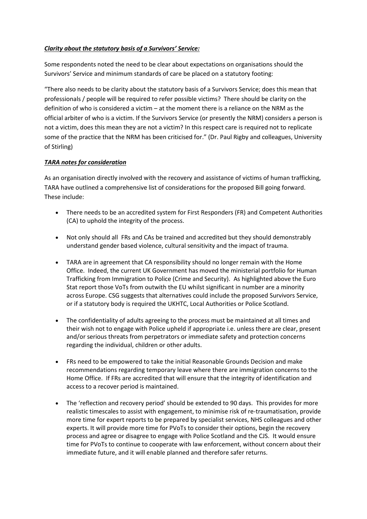#### *Clarity about the statutory basis of a Survivors' Service:*

Some respondents noted the need to be clear about expectations on organisations should the Survivors' Service and minimum standards of care be placed on a statutory footing:

"There also needs to be clarity about the statutory basis of a Survivors Service; does this mean that professionals / people will be required to refer possible victims? There should be clarity on the definition of who is considered a victim – at the moment there is a reliance on the NRM as the official arbiter of who is a victim. If the Survivors Service (or presently the NRM) considers a person is not a victim, does this mean they are not a victim? In this respect care is required not to replicate some of the practice that the NRM has been criticised for." (Dr. Paul Rigby and colleagues, University of Stirling)

#### *TARA notes for consideration*

As an organisation directly involved with the recovery and assistance of victims of human trafficking, TARA have outlined a comprehensive list of considerations for the proposed Bill going forward. These include:

- There needs to be an accredited system for First Responders (FR) and Competent Authorities (CA) to uphold the integrity of the process.
- Not only should all FRs and CAs be trained and accredited but they should demonstrably understand gender based violence, cultural sensitivity and the impact of trauma.
- TARA are in agreement that CA responsibility should no longer remain with the Home Office. Indeed, the current UK Government has moved the ministerial portfolio for Human Trafficking from Immigration to Police (Crime and Security). As highlighted above the Euro Stat report those VoTs from outwith the EU whilst significant in number are a minority across Europe. CSG suggests that alternatives could include the proposed Survivors Service, or if a statutory body is required the UKHTC, Local Authorities or Police Scotland.
- The confidentiality of adults agreeing to the process must be maintained at all times and their wish not to engage with Police upheld if appropriate i.e. unless there are clear, present and/or serious threats from perpetrators or immediate safety and protection concerns regarding the individual, children or other adults.
- FRs need to be empowered to take the initial Reasonable Grounds Decision and make recommendations regarding temporary leave where there are immigration concerns to the Home Office. If FRs are accredited that will ensure that the integrity of identification and access to a recover period is maintained.
- The 'reflection and recovery period' should be extended to 90 days. This provides for more realistic timescales to assist with engagement, to minimise risk of re-traumatisation, provide more time for expert reports to be prepared by specialist services, NHS colleagues and other experts. It will provide more time for PVoTs to consider their options, begin the recovery process and agree or disagree to engage with Police Scotland and the CJS. It would ensure time for PVoTs to continue to cooperate with law enforcement, without concern about their immediate future, and it will enable planned and therefore safer returns.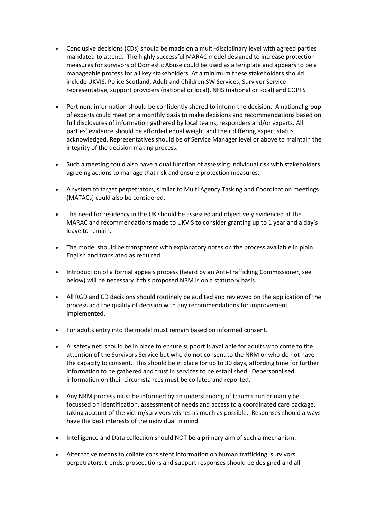- Conclusive decisions (CDs) should be made on a multi-disciplinary level with agreed parties mandated to attend. The highly successful MARAC model designed to increase protection measures for survivors of Domestic Abuse could be used as a template and appears to be a manageable process for all key stakeholders. At a minimum these stakeholders should include UKVIS, Police Scotland, Adult and Children SW Services, Survivor Service representative, support providers (national or local), NHS (national or local) and COPFS
- Pertinent information should be confidently shared to inform the decision. A national group of experts could meet on a monthly basis to make decisions and recommendations based on full disclosures of information gathered by local teams, responders and/or experts. All parties' evidence should be afforded equal weight and their differing expert status acknowledged. Representatives should be of Service Manager level or above to maintain the integrity of the decision making process.
- Such a meeting could also have a dual function of assessing individual risk with stakeholders agreeing actions to manage that risk and ensure protection measures.
- A system to target perpetrators, similar to Multi Agency Tasking and Coordination meetings (MATACs) could also be considered.
- The need for residency in the UK should be assessed and objectively evidenced at the MARAC and recommendations made to UKVIS to consider granting up to 1 year and a day's leave to remain.
- The model should be transparent with explanatory notes on the process available in plain English and translated as required.
- Introduction of a formal appeals process (heard by an Anti-Trafficking Commissioner, see below) will be necessary if this proposed NRM is on a statutory basis.
- All RGD and CD decisions should routinely be audited and reviewed on the application of the process and the quality of decision with any recommendations for improvement implemented.
- For adults entry into the model must remain based on informed consent.
- A 'safety net' should be in place to ensure support is available for adults who come to the attention of the Survivors Service but who do not consent to the NRM or who do not have the capacity to consent. This should be in place for up to 30 days, affording time for further information to be gathered and trust in services to be established. Depersonalised information on their circumstances must be collated and reported.
- Any NRM process must be informed by an understanding of trauma and primarily be focussed on identification, assessment of needs and access to a coordinated care package, taking account of the victim/survivors wishes as much as possible. Responses should always have the best interests of the individual in mind.
- Intelligence and Data collection should NOT be a primary aim of such a mechanism.
- Alternative means to collate consistent information on human trafficking, survivors, perpetrators, trends, prosecutions and support responses should be designed and all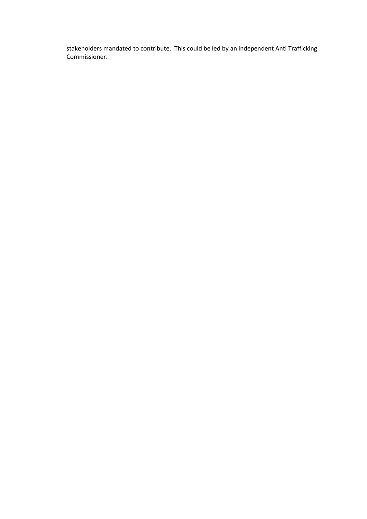stakeholders mandated to contribute. This could be led by an independent Anti Trafficking Commissioner.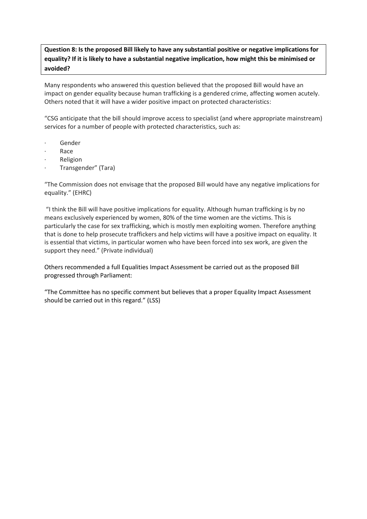**Question 8: Is the proposed Bill likely to have any substantial positive or negative implications for equality? If it is likely to have a substantial negative implication, how might this be minimised or avoided?**

Many respondents who answered this question believed that the proposed Bill would have an impact on gender equality because human trafficking is a gendered crime, affecting women acutely. Others noted that it will have a wider positive impact on protected characteristics:

"CSG anticipate that the bill should improve access to specialist (and where appropriate mainstream) services for a number of people with protected characteristics, such as:

- · Gender
- · Race
- **Religion**
- · Transgender" (Tara)

"The Commission does not envisage that the proposed Bill would have any negative implications for equality." (EHRC)

"I think the Bill will have positive implications for equality. Although human trafficking is by no means exclusively experienced by women, 80% of the time women are the victims. This is particularly the case for sex trafficking, which is mostly men exploiting women. Therefore anything that is done to help prosecute traffickers and help victims will have a positive impact on equality. It is essential that victims, in particular women who have been forced into sex work, are given the support they need." (Private individual)

Others recommended a full Equalities Impact Assessment be carried out as the proposed Bill progressed through Parliament:

"The Committee has no specific comment but believes that a proper Equality Impact Assessment should be carried out in this regard." (LSS)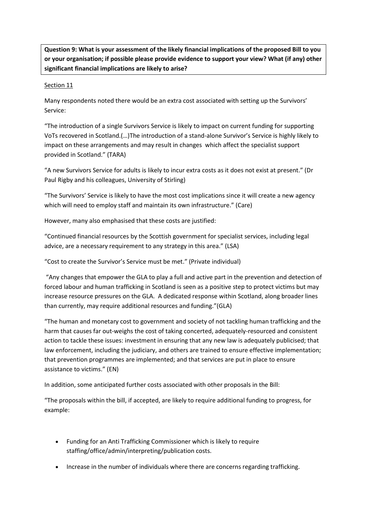**Question 9: What is your assessment of the likely financial implications of the proposed Bill to you or your organisation; if possible please provide evidence to support your view? What (if any) other significant financial implications are likely to arise?**

#### Section 11

Many respondents noted there would be an extra cost associated with setting up the Survivors' Service:

"The introduction of a single Survivors Service is likely to impact on current funding for supporting VoTs recovered in Scotland.(…)The introduction of a stand-alone Survivor's Service is highly likely to impact on these arrangements and may result in changes which affect the specialist support provided in Scotland." (TARA)

"A new Survivors Service for adults is likely to incur extra costs as it does not exist at present." (Dr Paul Rigby and his colleagues, University of Stirling)

"The Survivors' Service is likely to have the most cost implications since it will create a new agency which will need to employ staff and maintain its own infrastructure." (Care)

However, many also emphasised that these costs are justified:

"Continued financial resources by the Scottish government for specialist services, including legal advice, are a necessary requirement to any strategy in this area." (LSA)

"Cost to create the Survivor's Service must be met." (Private individual)

"Any changes that empower the GLA to play a full and active part in the prevention and detection of forced labour and human trafficking in Scotland is seen as a positive step to protect victims but may increase resource pressures on the GLA. A dedicated response within Scotland, along broader lines than currently, may require additional resources and funding."(GLA)

"The human and monetary cost to government and society of not tackling human trafficking and the harm that causes far out-weighs the cost of taking concerted, adequately-resourced and consistent action to tackle these issues: investment in ensuring that any new law is adequately publicised; that law enforcement, including the judiciary, and others are trained to ensure effective implementation; that prevention programmes are implemented; and that services are put in place to ensure assistance to victims." (EN)

In addition, some anticipated further costs associated with other proposals in the Bill:

"The proposals within the bill, if accepted, are likely to require additional funding to progress, for example:

- Funding for an Anti Trafficking Commissioner which is likely to require staffing/office/admin/interpreting/publication costs.
- Increase in the number of individuals where there are concerns regarding trafficking.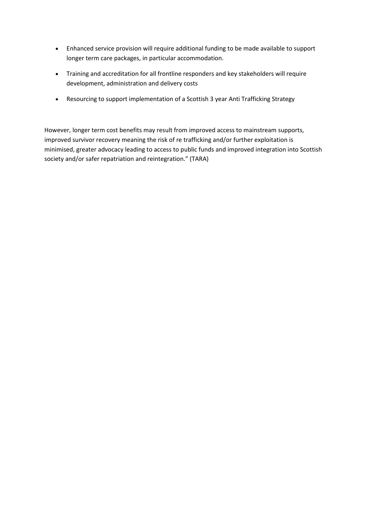- Enhanced service provision will require additional funding to be made available to support longer term care packages, in particular accommodation.
- Training and accreditation for all frontline responders and key stakeholders will require development, administration and delivery costs
- Resourcing to support implementation of a Scottish 3 year Anti Trafficking Strategy

However, longer term cost benefits may result from improved access to mainstream supports, improved survivor recovery meaning the risk of re trafficking and/or further exploitation is minimised, greater advocacy leading to access to public funds and improved integration into Scottish society and/or safer repatriation and reintegration." (TARA)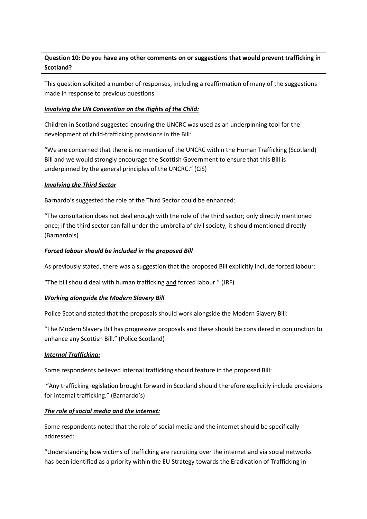### **Question 10: Do you have any other comments on or suggestions that would prevent trafficking in Scotland?**

This question solicited a number of responses, including a reaffirmation of many of the suggestions made in response to previous questions.

#### *Involving the UN Convention on the Rights of the Child:*

Children in Scotland suggested ensuring the UNCRC was used as an underpinning tool for the development of child-trafficking provisions in the Bill:

"We are concerned that there is no mention of the UNCRC within the Human Trafficking (Scotland) Bill and we would strongly encourage the Scottish Government to ensure that this Bill is underpinned by the general principles of the UNCRC." (CiS)

#### *Involving the Third Sector*

Barnardo's suggested the role of the Third Sector could be enhanced:

"The consultation does not deal enough with the role of the third sector; only directly mentioned once; if the third sector can fall under the umbrella of civil society, it should mentioned directly (Barnardo's)

#### *Forced labour should be included in the proposed Bill*

As previously stated, there was a suggestion that the proposed Bill explicitly include forced labour:

"The bill should deal with human trafficking and forced labour." (JRF)

#### *Working alongside the Modern Slavery Bill*

Police Scotland stated that the proposals should work alongside the Modern Slavery Bill:

"The Modern Slavery Bill has progressive proposals and these should be considered in conjunction to enhance any Scottish Bill." (Police Scotland)

#### *Internal Trafficking:*

Some respondents believed internal trafficking should feature in the proposed Bill:

"Any trafficking legislation brought forward in Scotland should therefore explicitly include provisions for internal trafficking." (Barnardo's)

#### *The role of social media and the internet:*

Some respondents noted that the role of social media and the internet should be specifically addressed:

"Understanding how victims of trafficking are recruiting over the internet and via social networks has been identified as a priority within the EU Strategy towards the Eradication of Trafficking in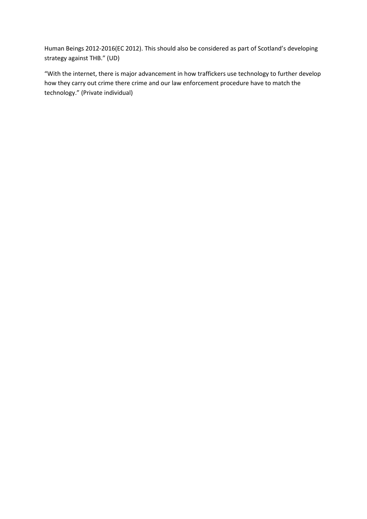Human Beings 2012-2016(EC 2012). This should also be considered as part of Scotland's developing strategy against THB." (UD)

"With the internet, there is major advancement in how traffickers use technology to further develop how they carry out crime there crime and our law enforcement procedure have to match the technology." (Private individual)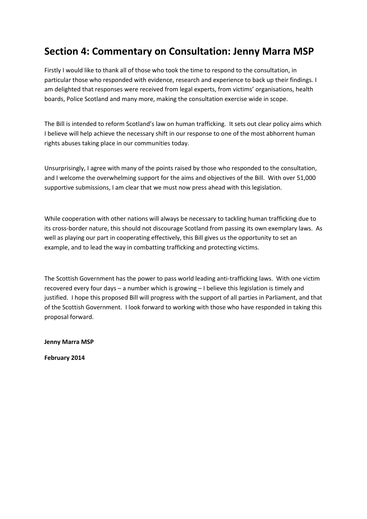## **Section 4: Commentary on Consultation: Jenny Marra MSP**

Firstly I would like to thank all of those who took the time to respond to the consultation, in particular those who responded with evidence, research and experience to back up their findings. I am delighted that responses were received from legal experts, from victims' organisations, health boards, Police Scotland and many more, making the consultation exercise wide in scope.

The Bill is intended to reform Scotland's law on human trafficking. It sets out clear policy aims which I believe will help achieve the necessary shift in our response to one of the most abhorrent human rights abuses taking place in our communities today.

Unsurprisingly, I agree with many of the points raised by those who responded to the consultation, and I welcome the overwhelming support for the aims and objectives of the Bill. With over 51,000 supportive submissions, I am clear that we must now press ahead with this legislation.

While cooperation with other nations will always be necessary to tackling human trafficking due to its cross-border nature, this should not discourage Scotland from passing its own exemplary laws. As well as playing our part in cooperating effectively, this Bill gives us the opportunity to set an example, and to lead the way in combatting trafficking and protecting victims.

The Scottish Government has the power to pass world leading anti-trafficking laws. With one victim recovered every four days – a number which is growing – I believe this legislation is timely and justified. I hope this proposed Bill will progress with the support of all parties in Parliament, and that of the Scottish Government. I look forward to working with those who have responded in taking this proposal forward.

**Jenny Marra MSP** 

**February 2014**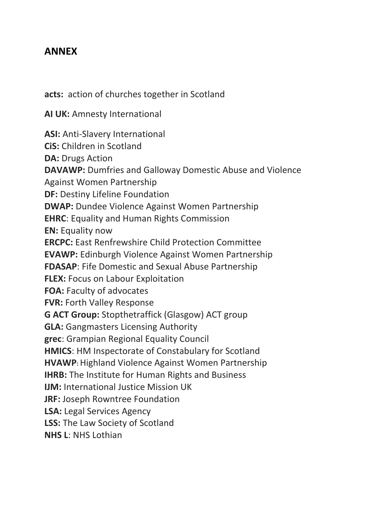### **ANNEX**

**acts:** action of churches together in Scotland

**AI UK:** Amnesty International

**ASI:** Anti-Slavery International **CiS:** Children in Scotland **DA:** Drugs Action **DAVAWP:** Dumfries and Galloway Domestic Abuse and Violence Against Women Partnership **DF:** Destiny Lifeline Foundation **DWAP:** Dundee Violence Against Women Partnership **EHRC**: Equality and Human Rights Commission **EN:** Equality now **ERCPC:** East Renfrewshire Child Protection Committee **EVAWP:** Edinburgh Violence Against Women Partnership **FDASAP**: Fife Domestic and Sexual Abuse Partnership **FLEX:** Focus on Labour Exploitation **FOA:** Faculty of advocates **FVR:** Forth Valley Response **G ACT Group:** Stopthetraffick (Glasgow) ACT group **GLA:** Gangmasters Licensing Authority **grec**: Grampian Regional Equality Council **HMICS**: HM Inspectorate of Constabulary for Scotland **HVAWP:**Highland Violence Against Women Partnership **IHRB:** The Institute for Human Rights and Business **IJM:** International Justice Mission UK **JRF:** Joseph Rowntree Foundation **LSA:** Legal Services Agency **LSS:** The Law Society of Scotland **NHS L**: NHS Lothian